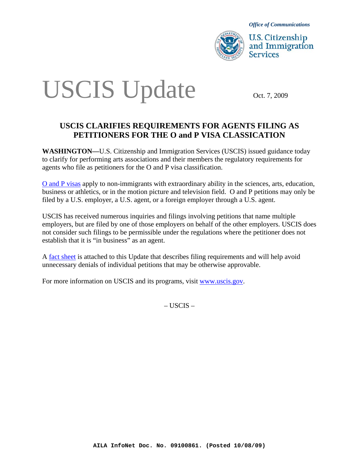

*Office of Communications* 

**U.S. Citizenship** and Immigration **Services** 

# USCIS Update OCt. 7, 2009

# **USCIS CLARIFIES REQUIREMENTS FOR AGENTS FILING AS PETITIONERS FOR THE O and P VISA CLASSICATION**

**WASHINGTON—**U.S. Citizenship and Immigration Services (USCIS) issued guidance today to clarify for performing arts associations and their members the regulatory requirements for agents who file as petitioners for the O and P visa classification.

[O and P visas](http://www.uscis.gov/portal/site/uscis/menuitem.eb1d4c2a3e5b9ac89243c6a7543f6d1a/?vgnextoid=13ad2f8b69583210VgnVCM100000082ca60aRCRD&vgnextchannel=13ad2f8b69583210VgnVCM100000082ca60aRCRD) apply to non-immigrants with extraordinary ability in the sciences, arts, education, business or athletics, or in the motion picture and television field. O and P petitions may only be filed by a U.S. employer, a U.S. agent, or a foreign employer through a U.S. agent.

USCIS has received numerous inquiries and filings involving petitions that name multiple employers, but are filed by one of those employers on behalf of the other employers. USCIS does not consider such filings to be permissible under the regulations where the petitioner does not establish that it is "in business" as an agent.

A fact sheet is attached to this Update that describes filing requirements and will help avoid unnecessary denials of individual petitions that may be otherwise approvable.

For more information on USCIS and its programs, visit [www.uscis.gov.](http://www.uscis.gov/)

– USCIS –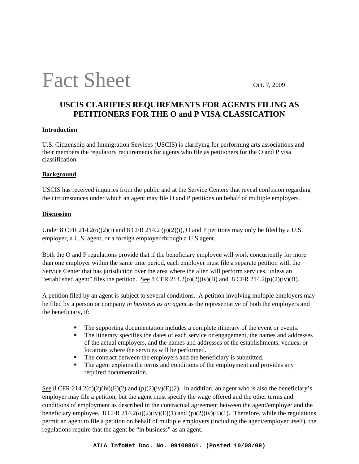# Fact Sheet Oct. 7, 2009

# **USCIS CLARIFIES REQUIREMENTS FOR AGENTS FILING AS PETITIONERS FOR THE O and P VISA CLASSICATION**

#### **Introduction**

U.S. Citizenship and Immigration Services (USCIS) is clarifying for performing arts associations and their members the regulatory requirements for agents who file as petitioners for the O and P visa classification.

### **Background**

USCIS has received inquiries from the public and at the Service Centers that reveal confusion regarding the circumstances under which an agent may file O and P petitions on behalf of multiple employers.

### **Discussion**

Under 8 CFR 214.2( $o(2)(i)$  and 8 CFR 214.2  $(p)(2)(i)$ , O and P petitions may only be filed by a U.S. employer, a U.S. agent, or a foreign employer through a U.S agent.

Both the O and P regulations provide that if the beneficiary employee will work concurrently for more than one employer within the same time period, each employer must file a separate petition with the Service Center that has jurisdiction over the area where the alien will perform services, unless an "established agent" files the petition. See 8 CFR 214.2(o)(2)(iv)(B) and 8 CFR 214.2(p)(2)(iv)(B).

A petition filed by an agent is subject to several conditions. A petition involving multiple employers may be filed by a person or company *in business as an agent* as the representative of both the employers and the beneficiary, if:

- The supporting documentation includes a complete itinerary of the event or events.
- The itinerary specifies the dates of each service or engagement, the names and addresses of the actual employers, and the names and addresses of the establishments, venues, or locations where the services will be performed.
- The contract between the employers and the beneficiary is submitted.
- $\blacksquare$  The agent explains the terms and conditions of the employment and provides any required documentation.

See 8 CFR 214.2(o)(2)(iv)(E)(2) and (p)(2)(iv)(E)(2). In addition, an agent who is also the beneficiary's employer may file a petition, but the agent must specify the wage offered and the other terms and conditions of employment as described in the contractual agreement between the agent/employer and the beneficiary employee. 8 CFR 214.2(o)(2)(iv)(E)(1) and (p)(2)(iv)(E)(1). Therefore, while the regulations permit an agent to file a petition on behalf of multiple employers (including the agent/employer itself), the regulations require that the agent be "in business" as an agent.